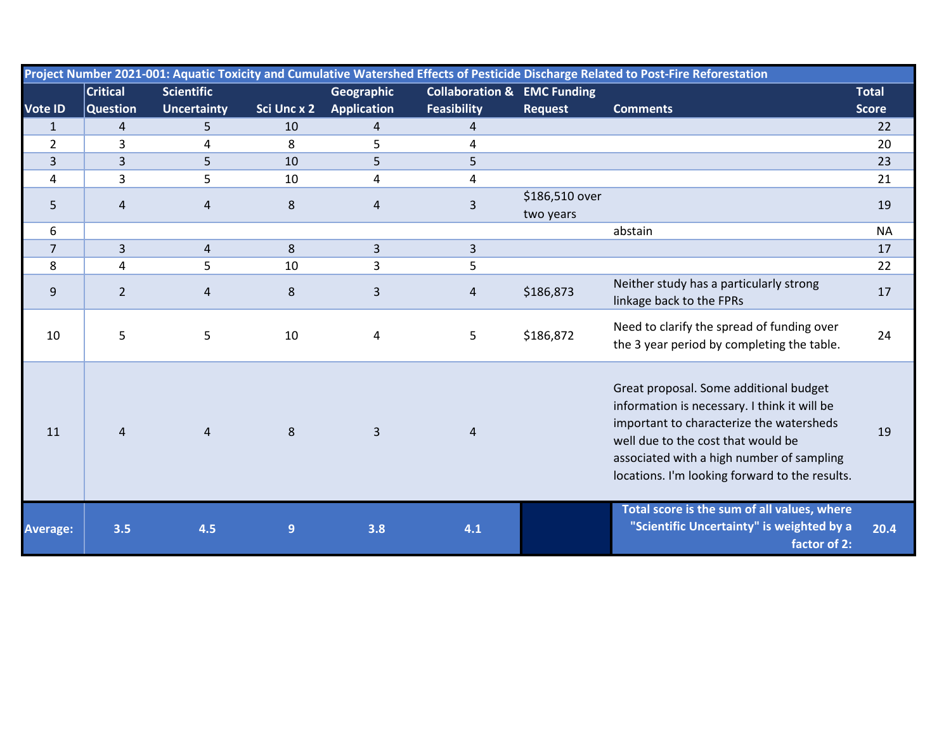| Project Number 2021-001: Aquatic Toxicity and Cumulative Watershed Effects of Pesticide Discharge Related to Post-Fire Reforestation |                 |                    |             |                    |                                        |                             |                                                                                                                                                                                                                                                                         |              |  |
|--------------------------------------------------------------------------------------------------------------------------------------|-----------------|--------------------|-------------|--------------------|----------------------------------------|-----------------------------|-------------------------------------------------------------------------------------------------------------------------------------------------------------------------------------------------------------------------------------------------------------------------|--------------|--|
|                                                                                                                                      | <b>Critical</b> | <b>Scientific</b>  |             | Geographic         | <b>Collaboration &amp; EMC Funding</b> |                             |                                                                                                                                                                                                                                                                         | <b>Total</b> |  |
| <b>Vote ID</b>                                                                                                                       | <b>Question</b> | <b>Uncertainty</b> | Sci Unc x 2 | <b>Application</b> | <b>Feasibility</b>                     | <b>Request</b>              | <b>Comments</b>                                                                                                                                                                                                                                                         | <b>Score</b> |  |
| $\mathbf{1}$                                                                                                                         | $\overline{4}$  | 5                  | 10          | $\overline{4}$     | $\overline{4}$                         |                             |                                                                                                                                                                                                                                                                         | 22           |  |
| $\overline{2}$                                                                                                                       | 3               | 4                  | 8           | 5                  | 4                                      |                             |                                                                                                                                                                                                                                                                         | 20           |  |
| $\overline{3}$                                                                                                                       | 3               | 5                  | 10          | 5                  | 5                                      |                             |                                                                                                                                                                                                                                                                         | 23           |  |
| 4                                                                                                                                    | 3               | 5                  | 10          | 4                  | 4                                      |                             |                                                                                                                                                                                                                                                                         | 21           |  |
| 5                                                                                                                                    | 4               | $\overline{4}$     | $\,8\,$     | $\overline{4}$     | 3                                      | \$186,510 over<br>two years |                                                                                                                                                                                                                                                                         | 19           |  |
| 6                                                                                                                                    |                 |                    |             |                    |                                        |                             | abstain                                                                                                                                                                                                                                                                 | <b>NA</b>    |  |
| $\overline{7}$                                                                                                                       | 3               | $\overline{4}$     | 8           | $\overline{3}$     | $\overline{3}$                         |                             |                                                                                                                                                                                                                                                                         | 17           |  |
| 8                                                                                                                                    | 4               | 5                  | 10          | 3                  | 5                                      |                             |                                                                                                                                                                                                                                                                         | 22           |  |
| 9                                                                                                                                    | $\overline{2}$  | $\overline{4}$     | $\,8\,$     | 3                  | $\overline{4}$                         | \$186,873                   | Neither study has a particularly strong<br>linkage back to the FPRs                                                                                                                                                                                                     | 17           |  |
| 10                                                                                                                                   | 5               | 5                  | 10          | 4                  | 5                                      | \$186,872                   | Need to clarify the spread of funding over<br>the 3 year period by completing the table.                                                                                                                                                                                | 24           |  |
| 11                                                                                                                                   | $\overline{4}$  | $\overline{4}$     | 8           | $\overline{3}$     | 4                                      |                             | Great proposal. Some additional budget<br>information is necessary. I think it will be<br>important to characterize the watersheds<br>well due to the cost that would be<br>associated with a high number of sampling<br>locations. I'm looking forward to the results. | 19           |  |
| <b>Average:</b>                                                                                                                      | 3.5             | 4.5                | 9           | 3.8                | 4.1                                    |                             | Total score is the sum of all values, where<br>"Scientific Uncertainty" is weighted by a<br>factor of 2:                                                                                                                                                                | 20.4         |  |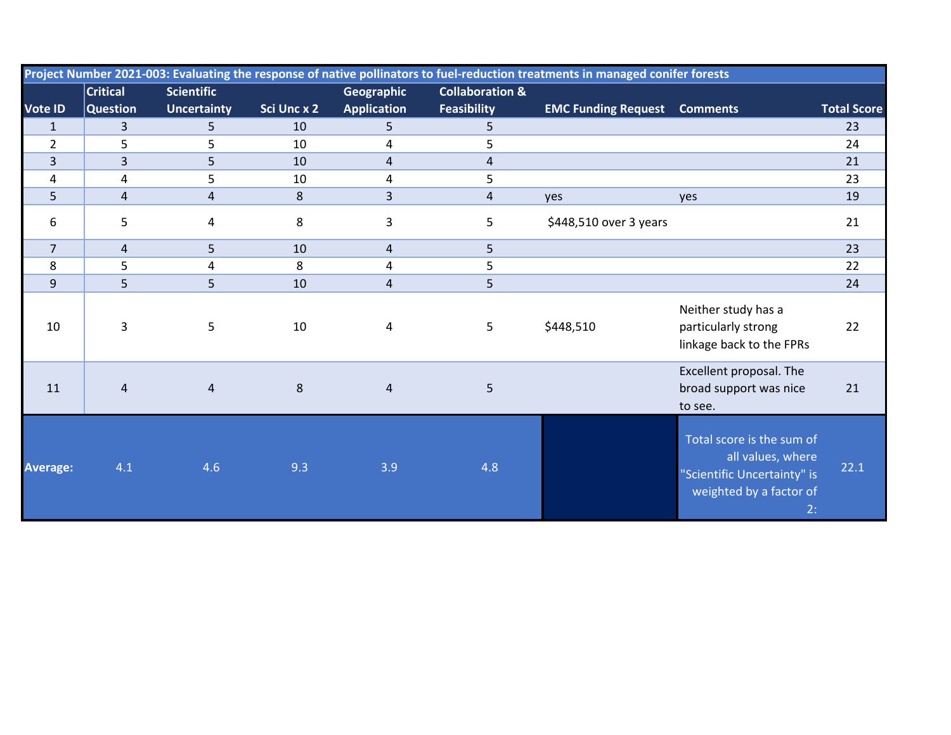| Project Number 2021-003: Evaluating the response of native pollinators to fuel-reduction treatments in managed conifer forests |                 |                    |             |                         |                            |                            |                                                                                                                |                    |
|--------------------------------------------------------------------------------------------------------------------------------|-----------------|--------------------|-------------|-------------------------|----------------------------|----------------------------|----------------------------------------------------------------------------------------------------------------|--------------------|
|                                                                                                                                | <b>Critical</b> | <b>Scientific</b>  |             | Geographic              | <b>Collaboration &amp;</b> |                            |                                                                                                                |                    |
| Vote ID                                                                                                                        | <b>Question</b> | <b>Uncertainty</b> | Sci Unc x 2 | <b>Application</b>      | <b>Feasibility</b>         | <b>EMC Funding Request</b> | <b>Comments</b>                                                                                                | <b>Total Score</b> |
| $\mathbf{1}$                                                                                                                   | $\overline{3}$  | 5                  | 10          | 5                       | 5                          |                            |                                                                                                                | 23                 |
| $\overline{2}$                                                                                                                 | 5               | 5                  | 10          | 4                       | 5                          |                            |                                                                                                                | 24                 |
| $\overline{3}$                                                                                                                 | 3               | 5                  | 10          | $\overline{\mathbf{4}}$ | $\overline{\mathbf{4}}$    |                            |                                                                                                                | 21                 |
| 4                                                                                                                              | 4               | 5                  | 10          | 4                       | 5                          |                            |                                                                                                                | 23                 |
| 5                                                                                                                              | 4               | 4                  | 8           | 3                       | 4                          | yes                        | yes                                                                                                            | 19                 |
| 6                                                                                                                              | 5               | 4                  | 8           | 3                       | 5                          | \$448,510 over 3 years     |                                                                                                                | 21                 |
| $\overline{7}$                                                                                                                 | 4               | 5                  | 10          | $\overline{4}$          | 5                          |                            |                                                                                                                | 23                 |
| 8                                                                                                                              | 5               | 4                  | 8           | 4                       | 5                          |                            |                                                                                                                | 22                 |
| 9                                                                                                                              | 5               | 5                  | 10          | $\overline{\mathbf{4}}$ | 5                          |                            |                                                                                                                | 24                 |
| 10                                                                                                                             | 3               | 5                  | 10          | 4                       | 5                          | \$448,510                  | Neither study has a<br>particularly strong<br>linkage back to the FPRs                                         | 22                 |
| 11                                                                                                                             | 4               | $\overline{4}$     | 8           | $\overline{4}$          | 5                          |                            | Excellent proposal. The<br>broad support was nice<br>to see.                                                   | 21                 |
| <b>Average:</b>                                                                                                                | 4.1             | 4.6                | 9.3         | 3.9                     | 4.8                        |                            | Total score is the sum of<br>all values, where<br>"Scientific Uncertainty" is<br>weighted by a factor of<br>2: | 22.1               |